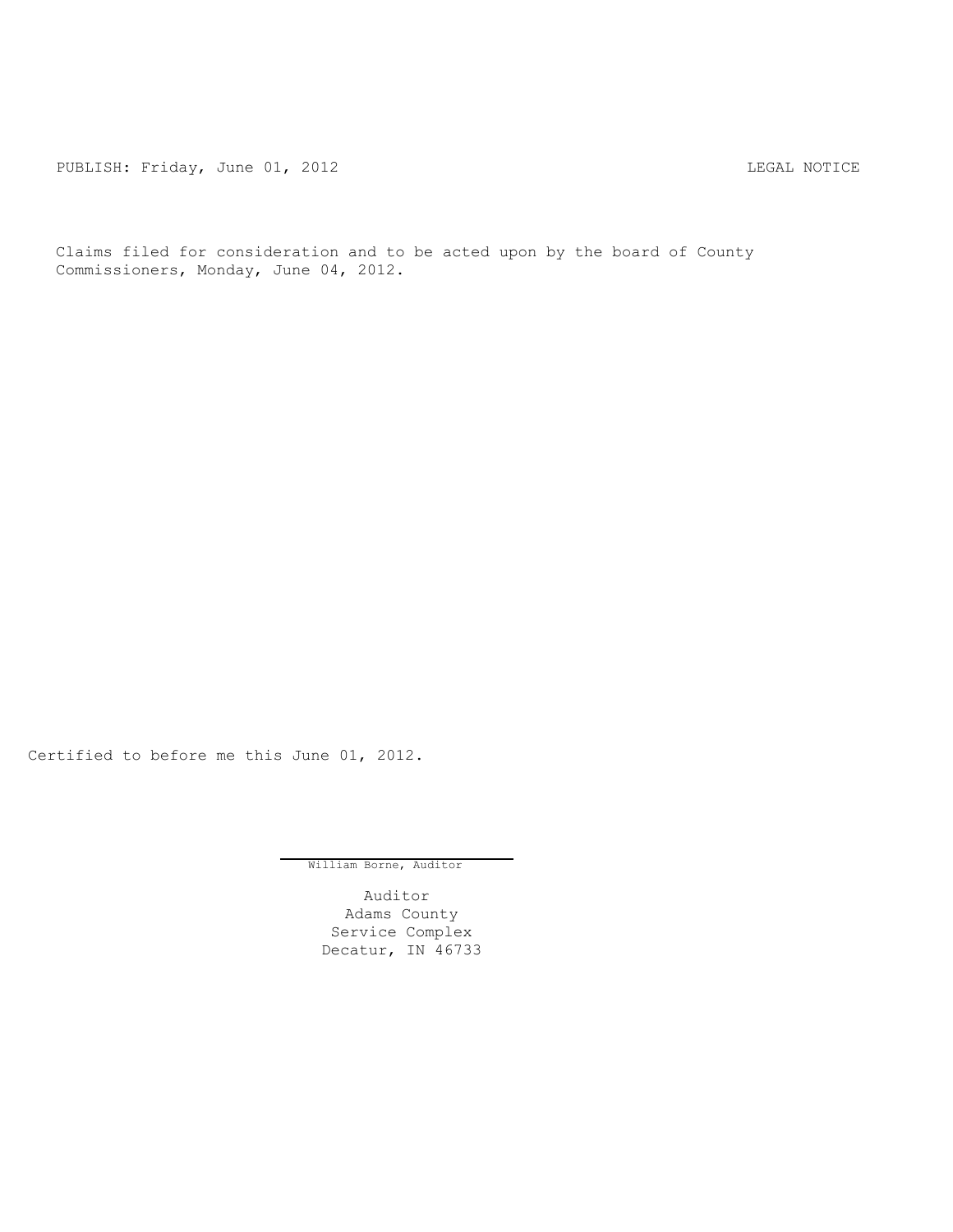PUBLISH: Friday, June 01, 2012 LEGAL NOTICE

Claims filed for consideration and to be acted upon by the board of County Commissioners, Monday, June 04, 2012.

Certified to before me this June 01, 2012.

William Borne, Auditor

Auditor Adams County Service Complex Decatur, IN 46733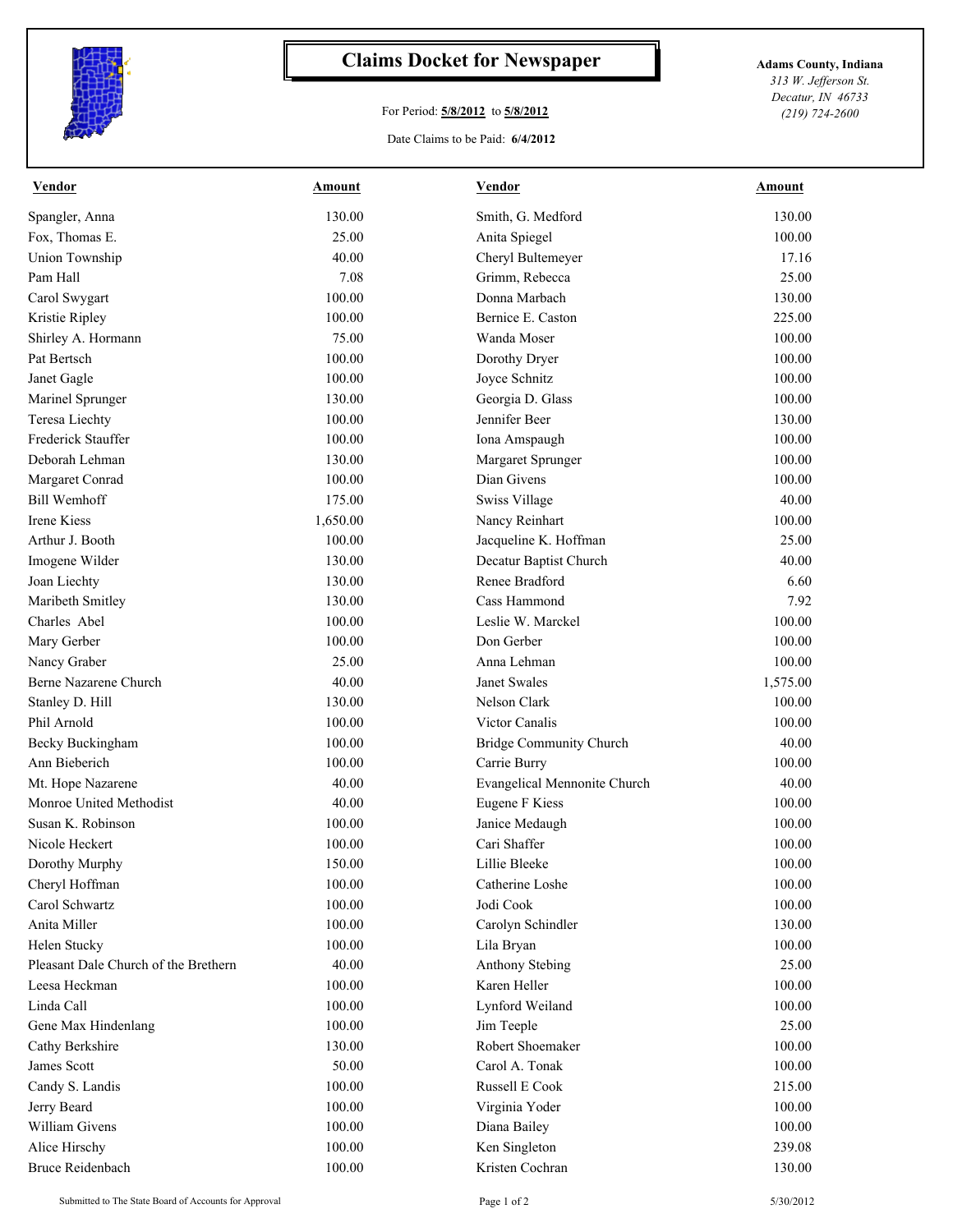

## **Claims Docket for Newspaper Adams County, Indiana**

## For Period: **5/8/2012** to **5/8/2012**

Date Claims to be Paid: **6/4/2012**

*313 W. Jefferson St. Decatur, IN 46733 (219) 724-2600*

| <b>Vendor</b>                            | <u>Amount</u> | <b>Vendor</b>                       | <b>Amount</b> |
|------------------------------------------|---------------|-------------------------------------|---------------|
| Spangler, Anna                           | 130.00        | Smith, G. Medford                   | 130.00        |
| Fox, Thomas E.                           | 25.00         | Anita Spiegel                       | 100.00        |
| Union Township                           | 40.00         | Cheryl Bultemeyer                   | 17.16         |
| Pam Hall                                 | 7.08          | Grimm, Rebecca                      | 25.00         |
| Carol Swygart                            | 100.00        | Donna Marbach                       | 130.00        |
| Kristie Ripley                           | 100.00        | Bernice E. Caston                   | 225.00        |
| Shirley A. Hormann                       | 75.00         | Wanda Moser                         | 100.00        |
| Pat Bertsch                              | 100.00        | Dorothy Dryer                       | 100.00        |
| Janet Gagle                              | 100.00        | Joyce Schnitz                       | 100.00        |
| Marinel Sprunger                         | 130.00        | Georgia D. Glass                    | 100.00        |
| Teresa Liechty                           | 100.00        | Jennifer Beer                       | 130.00        |
| Frederick Stauffer                       | 100.00        | Iona Amspaugh                       | 100.00        |
| Deborah Lehman                           | 130.00        | Margaret Sprunger                   | 100.00        |
| Margaret Conrad                          | 100.00        | Dian Givens                         | 100.00        |
| <b>Bill Wemhoff</b>                      | 175.00        | Swiss Village                       | 40.00         |
| Irene Kiess                              | 1,650.00      | Nancy Reinhart                      | 100.00        |
| Arthur J. Booth                          | 100.00        | Jacqueline K. Hoffman               | 25.00         |
| Imogene Wilder                           | 130.00        | Decatur Baptist Church              | 40.00         |
| Joan Liechty                             | 130.00        | Renee Bradford                      | 6.60          |
| Maribeth Smitley                         | 130.00        | Cass Hammond                        | 7.92          |
| Charles Abel                             | 100.00        | Leslie W. Marckel                   | 100.00        |
| Mary Gerber                              | 100.00        | Don Gerber                          | 100.00        |
| Nancy Graber                             | 25.00         | Anna Lehman                         | 100.00        |
| Berne Nazarene Church                    | 40.00         | Janet Swales                        | 1,575.00      |
| Stanley D. Hill                          | 130.00        | Nelson Clark                        | 100.00        |
| Phil Arnold                              | 100.00        | Victor Canalis                      | 100.00        |
| Becky Buckingham                         | 100.00        | <b>Bridge Community Church</b>      | 40.00         |
| Ann Bieberich                            | 100.00        | Carrie Burry                        | 100.00        |
| Mt. Hope Nazarene                        | 40.00         | <b>Evangelical Mennonite Church</b> | 40.00         |
| Monroe United Methodist                  | 40.00         | Eugene F Kiess                      | 100.00        |
| Susan K. Robinson                        | 100.00        | Janice Medaugh                      | 100.00        |
| Nicole Heckert                           | 100.00        | Cari Shaffer                        | 100.00        |
| Dorothy Murphy                           | 150.00        | Lillie Bleeke                       | 100.00        |
| Cheryl Hoffman                           | 100.00        | Catherine Loshe                     | 100.00        |
| Carol Schwartz                           | 100.00        | Jodi Cook                           | 100.00        |
| Anita Miller                             | 100.00        | Carolyn Schindler                   | 130.00        |
| Helen Stucky                             | 100.00        | Lila Bryan                          | 100.00        |
| Pleasant Dale Church of the Brethern     | 40.00         | Anthony Stebing                     | 25.00         |
| Leesa Heckman                            | 100.00        | Karen Heller                        | 100.00        |
| Linda Call                               | 100.00        | Lynford Weiland                     | 100.00        |
| Gene Max Hindenlang                      | 100.00        | Jim Teeple                          | 25.00         |
| Cathy Berkshire                          | 130.00        | Robert Shoemaker                    | 100.00        |
| James Scott                              | 50.00         | Carol A. Tonak                      | 100.00        |
| Candy S. Landis                          | 100.00        | Russell E Cook                      | 215.00        |
| Jerry Beard                              | 100.00        | Virginia Yoder                      | 100.00        |
| William Givens                           | 100.00        |                                     |               |
|                                          |               | Diana Bailey                        | 100.00        |
| Alice Hirschy<br><b>Bruce Reidenbach</b> | 100.00        | Ken Singleton<br>Kristen Cochran    | 239.08        |
|                                          | 100.00        |                                     | 130.00        |